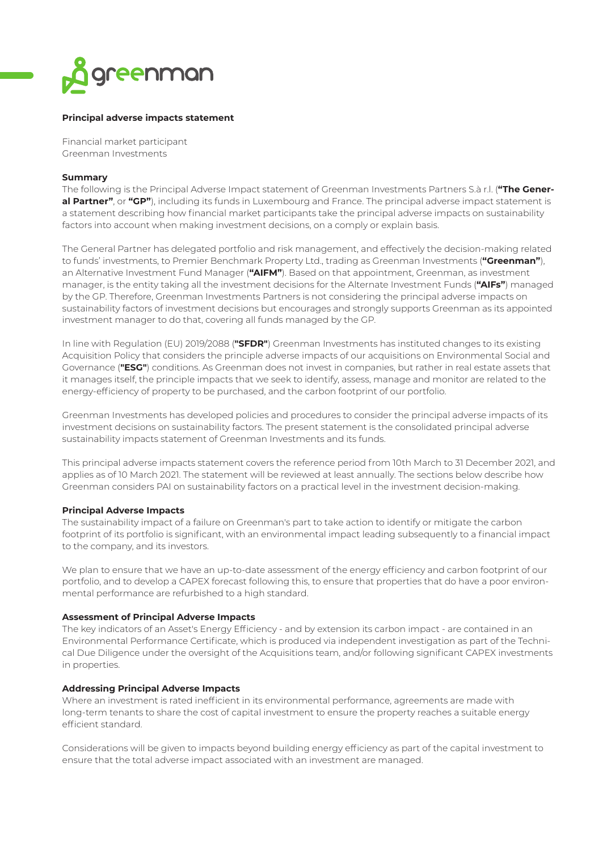

# **Principal adverse impacts statement**

Financial market participant Greenman Investments

### **Summary**

The following is the Principal Adverse Impact statement of Greenman Investments Partners S.à r.l. (**"The General Partner"**, or **"GP"**), including its funds in Luxembourg and France. The principal adverse impact statement is a statement describing how financial market participants take the principal adverse impacts on sustainability factors into account when making investment decisions, on a comply or explain basis.

The General Partner has delegated portfolio and risk management, and effectively the decision-making related to funds' investments, to Premier Benchmark Property Ltd., trading as Greenman Investments (**"Greenman"**), an Alternative Investment Fund Manager (**"AIFM"**). Based on that appointment, Greenman, as investment manager, is the entity taking all the investment decisions for the Alternate Investment Funds (**"AIFs"**) managed by the GP. Therefore, Greenman Investments Partners is not considering the principal adverse impacts on sustainability factors of investment decisions but encourages and strongly supports Greenman as its appointed investment manager to do that, covering all funds managed by the GP.

In line with Regulation (EU) 2019/2088 (**"SFDR"**) Greenman Investments has instituted changes to its existing Acquisition Policy that considers the principle adverse impacts of our acquisitions on Environmental Social and Governance (**"ESG"**) conditions. As Greenman does not invest in companies, but rather in real estate assets that it manages itself, the principle impacts that we seek to identify, assess, manage and monitor are related to the energy-efficiency of property to be purchased, and the carbon footprint of our portfolio.

Greenman Investments has developed policies and procedures to consider the principal adverse impacts of its investment decisions on sustainability factors. The present statement is the consolidated principal adverse sustainability impacts statement of Greenman Investments and its funds.

This principal adverse impacts statement covers the reference period from 10th March to 31 December 2021, and applies as of 10 March 2021. The statement will be reviewed at least annually. The sections below describe how Greenman considers PAI on sustainability factors on a practical level in the investment decision-making.

## **Principal Adverse Impacts**

The sustainability impact of a failure on Greenman's part to take action to identify or mitigate the carbon footprint of its portfolio is significant, with an environmental impact leading subsequently to a financial impact to the company, and its investors.

We plan to ensure that we have an up-to-date assessment of the energy efficiency and carbon footprint of our portfolio, and to develop a CAPEX forecast following this, to ensure that properties that do have a poor environmental performance are refurbished to a high standard.

### **Assessment of Principal Adverse Impacts**

The key indicators of an Asset's Energy Efficiency - and by extension its carbon impact - are contained in an Environmental Performance Certificate, which is produced via independent investigation as part of the Technical Due Diligence under the oversight of the Acquisitions team, and/or following significant CAPEX investments in properties.

### **Addressing Principal Adverse Impacts**

Where an investment is rated inefficient in its environmental performance, agreements are made with long-term tenants to share the cost of capital investment to ensure the property reaches a suitable energy efficient standard.

Considerations will be given to impacts beyond building energy efficiency as part of the capital investment to ensure that the total adverse impact associated with an investment are managed.